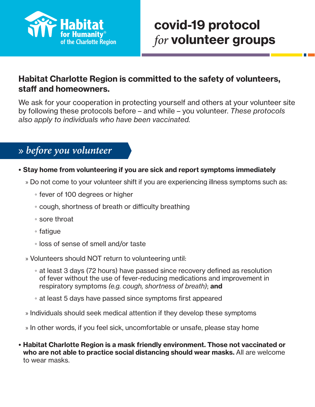

# covid-19 protocol *for* volunteer groups

## Habitat Charlotte Region is committed to the safety of volunteers, staff and homeowners.

We ask for your cooperation in protecting yourself and others at your volunteer site by following these protocols before – and while – you volunteer. *These protocols also apply to individuals who have been vaccinated.*

## » before you volunteer

## • Stay home from volunteering if you are sick and report symptoms immediately

- » Do not come to your volunteer shift if you are experiencing illness symptoms such as:
	- fever of 100 degrees or higher
	- cough, shortness of breath or difficulty breathing
	- sore throat
	- fatigue
	- loss of sense of smell and/or taste
- » Volunteers should NOT return to volunteering until:
	- at least 3 days (72 hours) have passed since recovery defined as resolution of fever without the use of fever-reducing medications and improvement in respiratory symptoms *(e.g. cough, shortness of breath)*; and
	- at least 5 days have passed since symptoms first appeared
- » Individuals should seek medical attention if they develop these symptoms
- » In other words, if you feel sick, uncomfortable or unsafe, please stay home
- Habitat Charlotte Region is a mask friendly environment. Those not vaccinated or who are not able to practice social distancing should wear masks. All are welcome to wear masks.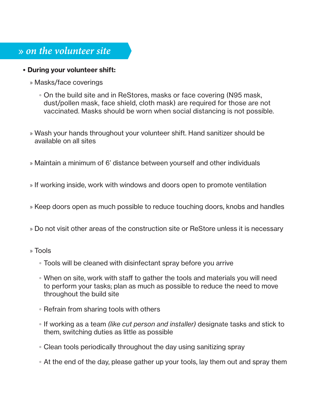## $\rightarrow$  on the volunteer site

## • During your volunteer shift:

- » Masks/face coverings
	- On the build site and in ReStores, masks or face covering (N95 mask, dust/pollen mask, face shield, cloth mask) are required for those are not vaccinated. Masks should be worn when social distancing is not possible.
- » Wash your hands throughout your volunteer shift. Hand sanitizer should be available on all sites
- » Maintain a minimum of 6' distance between yourself and other individuals
- » If working inside, work with windows and doors open to promote ventilation
- » Keep doors open as much possible to reduce touching doors, knobs and handles
- » Do not visit other areas of the construction site or ReStore unless it is necessary
- » Tools
	- Tools will be cleaned with disinfectant spray before you arrive
	- When on site, work with staff to gather the tools and materials you will need to perform your tasks; plan as much as possible to reduce the need to move throughout the build site
	- Refrain from sharing tools with others
	- If working as a team *(like cut person and installer)* designate tasks and stick to them, switching duties as little as possible
	- Clean tools periodically throughout the day using sanitizing spray
	- At the end of the day, please gather up your tools, lay them out and spray them